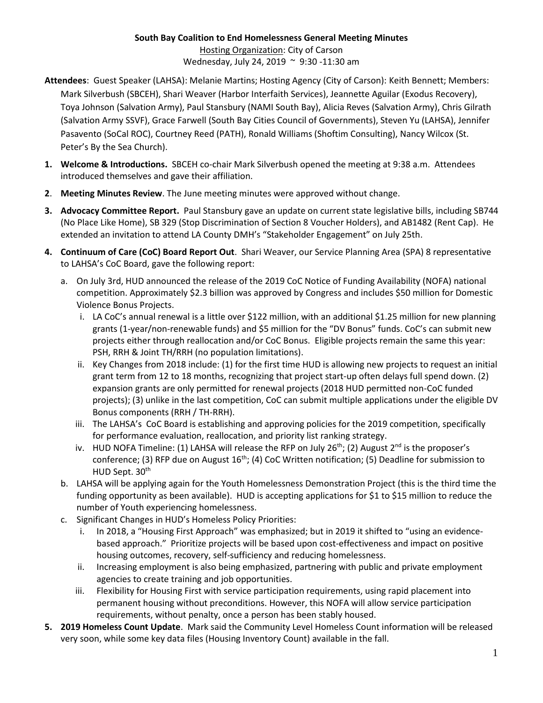## **South Bay Coalition to End Homelessness General Meeting Minutes**

Hosting Organization: City of Carson Wednesday, July 24, 2019 ~ 9:30 -11:30 am

- **Attendees**: Guest Speaker (LAHSA): Melanie Martins; Hosting Agency (City of Carson): Keith Bennett; Members: Mark Silverbush (SBCEH), Shari Weaver (Harbor Interfaith Services), Jeannette Aguilar (Exodus Recovery), Toya Johnson (Salvation Army), Paul Stansbury (NAMI South Bay), Alicia Reves (Salvation Army), Chris Gilrath (Salvation Army SSVF), Grace Farwell (South Bay Cities Council of Governments), Steven Yu (LAHSA), Jennifer Pasavento (SoCal ROC), Courtney Reed (PATH), Ronald Williams (Shoftim Consulting), Nancy Wilcox (St. Peter's By the Sea Church).
- **1. Welcome & Introductions.** SBCEH co-chair Mark Silverbush opened the meeting at 9:38 a.m. Attendees introduced themselves and gave their affiliation.
- **2**. **Meeting Minutes Review**. The June meeting minutes were approved without change.
- **3. Advocacy Committee Report.** Paul Stansbury gave an update on current state legislative bills, including SB744 (No Place Like Home), SB 329 (Stop Discrimination of Section 8 Voucher Holders), and AB1482 (Rent Cap). He extended an invitation to attend LA County DMH's "Stakeholder Engagement" on July 25th.
- **4. Continuum of Care (CoC) Board Report Out**. Shari Weaver, our Service Planning Area (SPA) 8 representative to LAHSA's CoC Board, gave the following report:
	- a. On July 3rd, HUD announced the release of the 2019 CoC Notice of Funding Availability (NOFA) national competition. Approximately \$2.3 billion was approved by Congress and includes \$50 million for Domestic Violence Bonus Projects.
		- i. LA CoC's annual renewal is a little over \$122 million, with an additional \$1.25 million for new planning grants (1-year/non-renewable funds) and \$5 million for the "DV Bonus" funds. CoC's can submit new projects either through reallocation and/or CoC Bonus. Eligible projects remain the same this year: PSH, RRH & Joint TH/RRH (no population limitations).
		- ii. Key Changes from 2018 include: (1) for the first time HUD is allowing new projects to request an initial grant term from 12 to 18 months, recognizing that project start-up often delays full spend down. (2) expansion grants are only permitted for renewal projects (2018 HUD permitted non-CoC funded projects); (3) unlike in the last competition, CoC can submit multiple applications under the eligible DV Bonus components (RRH / TH-RRH).
		- iii. The LAHSA's CoC Board is establishing and approving policies for the 2019 competition, specifically for performance evaluation, reallocation, and priority list ranking strategy.
		- iv. HUD NOFA Timeline: (1) LAHSA will release the RFP on July 26<sup>th</sup>; (2) August 2<sup>nd</sup> is the proposer's conference; (3) RFP due on August 16<sup>th</sup>; (4) CoC Written notification; (5) Deadline for submission to HUD Sept. 30<sup>th</sup>
	- b. LAHSA will be applying again for the Youth Homelessness Demonstration Project (this is the third time the funding opportunity as been available). HUD is accepting applications for \$1 to \$15 million to reduce the number of Youth experiencing homelessness.
	- c. Significant Changes in HUD's Homeless Policy Priorities:
		- i. In 2018, a "Housing First Approach" was emphasized; but in 2019 it shifted to "using an evidencebased approach." Prioritize projects will be based upon cost-effectiveness and impact on positive housing outcomes, recovery, self-sufficiency and reducing homelessness.
		- ii. Increasing employment is also being emphasized, partnering with public and private employment agencies to create training and job opportunities.
		- iii. Flexibility for Housing First with service participation requirements, using rapid placement into permanent housing without preconditions. However, this NOFA will allow service participation requirements, without penalty, once a person has been stably housed.
- **5. 2019 Homeless Count Update**. Mark said the Community Level Homeless Count information will be released very soon, while some key data files (Housing Inventory Count) available in the fall.